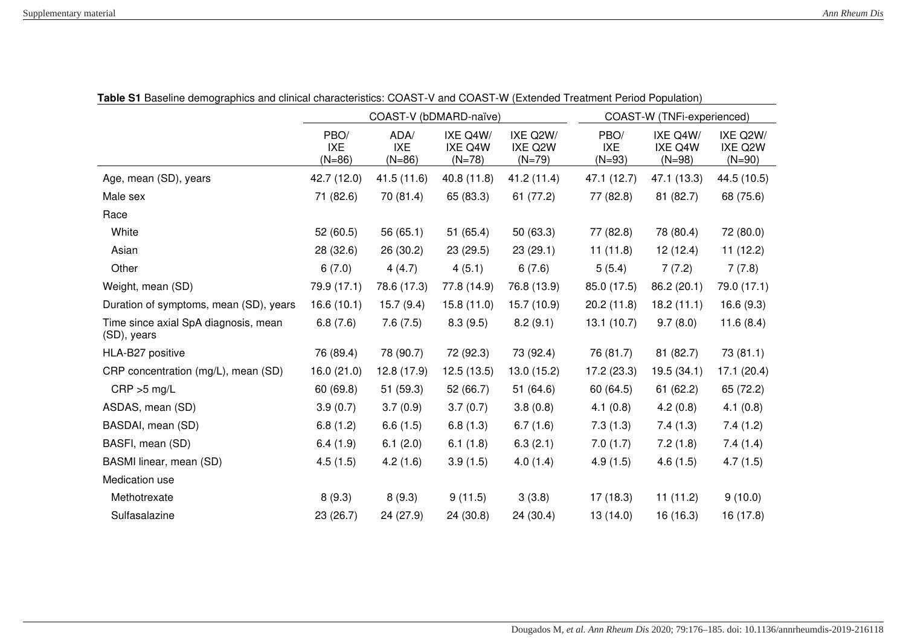|                                                     | COAST-V (bDMARD-naïve)         |                                |                                 |                                 | COAST-W (TNFi-experienced)     |                                 |                                 |
|-----------------------------------------------------|--------------------------------|--------------------------------|---------------------------------|---------------------------------|--------------------------------|---------------------------------|---------------------------------|
|                                                     | PBO/<br><b>IXE</b><br>$(N=86)$ | ADA/<br><b>IXE</b><br>$(N=86)$ | IXE Q4W/<br>IXE Q4W<br>$(N=78)$ | IXE Q2W/<br>IXE Q2W<br>$(N=79)$ | PBO/<br><b>IXE</b><br>$(N=93)$ | IXE Q4W/<br>IXE Q4W<br>$(N=98)$ | IXE Q2W/<br>IXE Q2W<br>$(N=90)$ |
| Age, mean (SD), years                               | 42.7 (12.0)                    | 41.5 (11.6)                    | 40.8 (11.8)                     | 41.2 (11.4)                     | 47.1 (12.7)                    | 47.1 (13.3)                     | 44.5 (10.5)                     |
| Male sex                                            | 71 (82.6)                      | 70 (81.4)                      | 65 (83.3)                       | 61 (77.2)                       | 77 (82.8)                      | 81 (82.7)                       | 68 (75.6)                       |
| Race                                                |                                |                                |                                 |                                 |                                |                                 |                                 |
| White                                               | 52 (60.5)                      | 56 (65.1)                      | 51(65.4)                        | 50 (63.3)                       | 77 (82.8)                      | 78 (80.4)                       | 72 (80.0)                       |
| Asian                                               | 28 (32.6)                      | 26 (30.2)                      | 23(29.5)                        | 23(29.1)                        | 11(11.8)                       | 12(12.4)                        | 11(12.2)                        |
| Other                                               | 6(7.0)                         | 4(4.7)                         | 4(5.1)                          | 6(7.6)                          | 5(5.4)                         | 7(7.2)                          | 7(7.8)                          |
| Weight, mean (SD)                                   | 79.9 (17.1)                    | 78.6 (17.3)                    | 77.8 (14.9)                     | 76.8 (13.9)                     | 85.0 (17.5)                    | 86.2 (20.1)                     | 79.0 (17.1)                     |
| Duration of symptoms, mean (SD), years              | 16.6(10.1)                     | 15.7(9.4)                      | 15.8(11.0)                      | 15.7 (10.9)                     | 20.2(11.8)                     | 18.2(11.1)                      | 16.6(9.3)                       |
| Time since axial SpA diagnosis, mean<br>(SD), years | 6.8(7.6)                       | 7.6(7.5)                       | 8.3(9.5)                        | 8.2(9.1)                        | 13.1(10.7)                     | 9.7(8.0)                        | 11.6(8.4)                       |
| HLA-B27 positive                                    | 76 (89.4)                      | 78 (90.7)                      | 72 (92.3)                       | 73 (92.4)                       | 76 (81.7)                      | 81 (82.7)                       | 73 (81.1)                       |
| CRP concentration (mg/L), mean (SD)                 | 16.0(21.0)                     | 12.8(17.9)                     | 12.5(13.5)                      | 13.0(15.2)                      | 17.2(23.3)                     | 19.5 (34.1)                     | 17.1(20.4)                      |
| $CRP > 5$ mg/L                                      | 60 (69.8)                      | 51 (59.3)                      | 52 (66.7)                       | 51 (64.6)                       | 60 (64.5)                      | 61(62.2)                        | 65 (72.2)                       |
| ASDAS, mean (SD)                                    | 3.9(0.7)                       | 3.7(0.9)                       | 3.7(0.7)                        | 3.8(0.8)                        | 4.1(0.8)                       | 4.2(0.8)                        | 4.1(0.8)                        |
| BASDAI, mean (SD)                                   | 6.8(1.2)                       | 6.6(1.5)                       | 6.8(1.3)                        | 6.7(1.6)                        | 7.3(1.3)                       | 7.4(1.3)                        | 7.4(1.2)                        |
| BASFI, mean (SD)                                    | 6.4(1.9)                       | 6.1(2.0)                       | 6.1(1.8)                        | 6.3(2.1)                        | 7.0(1.7)                       | 7.2(1.8)                        | 7.4(1.4)                        |
| BASMI linear, mean (SD)                             | 4.5(1.5)                       | 4.2(1.6)                       | 3.9(1.5)                        | 4.0(1.4)                        | 4.9(1.5)                       | 4.6(1.5)                        | 4.7(1.5)                        |
| Medication use                                      |                                |                                |                                 |                                 |                                |                                 |                                 |
| Methotrexate                                        | 8(9.3)                         | 8(9.3)                         | 9(11.5)                         | 3(3.8)                          | 17(18.3)                       | 11(11.2)                        | 9(10.0)                         |
| Sulfasalazine                                       | 23 (26.7)                      | 24 (27.9)                      | 24 (30.8)                       | 24 (30.4)                       | 13(14.0)                       | 16 (16.3)                       | 16 (17.8)                       |

**Table S1** Baseline demographics and clinical characteristics: COAST-V and COAST-W (Extended Treatment Period Population)